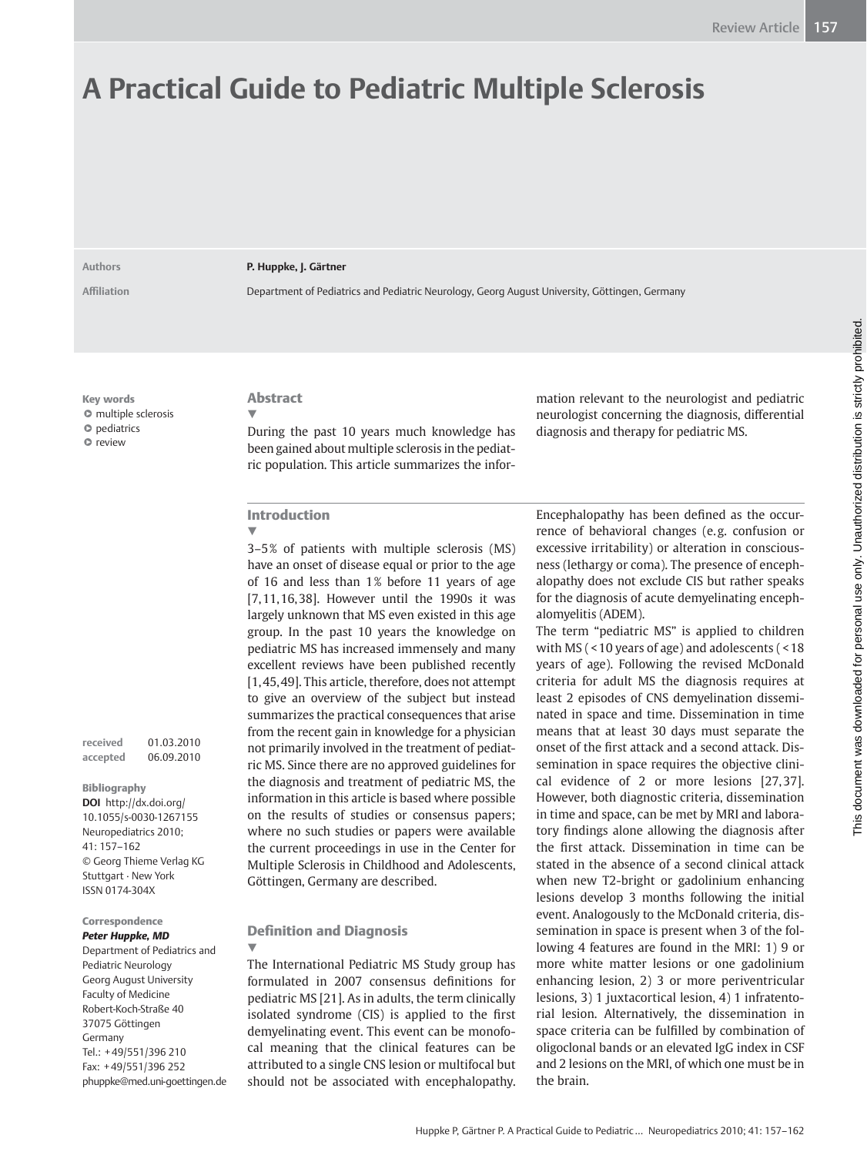# **A Practical Guide to Pediatric Multiple Sclerosis**

Authors **P. Huppke, J. Gärtner** 

Affiliation **Department of Pediatrics and Pediatric Neurology, Georg August University, Göttingen, Germany** 

Key words  $\circ$  multiple sclerosis  $\bullet$  pediatrics **O** review

**received** 01.03.2010 **accepted** 06.09.2010

Bibliography

**DOI** http://dx.doi.org/ 10.1055/s-0030-1267155 Neuropediatrics 2010; 41: 157 – 162 © Georg Thieme Verlag KG Stuttgart · New York ISSN 0174-304X

#### Correspondence

*Peter Huppke, MD* Department of Pediatrics and Pediatric Neurology Georg August University Faculty of Medicine Robert-Koch-Straße 40 37075 Göttingen Germany Tel.: +49/551/396 210 Fax: +49/551/396 252 phuppke@med.uni-goettingen.de

# Abstract

▼ During the past 10 years much knowledge has been gained about multiple sclerosis in the pediatric population. This article summarizes the information relevant to the neurologist and pediatric neurologist concerning the diagnosis, differential diagnosis and therapy for pediatric MS.

# Introduction

▼

3-5% of patients with multiple sclerosis (MS) have an onset of disease equal or prior to the age of 16 and less than 1% before 11 years of age [7, 11, 16, 38]. However until the 1990s it was largely unknown that MS even existed in this age group. In the past 10 years the knowledge on pediatric MS has increased immensely and many excellent reviews have been published recently [1,45,49]. This article, therefore, does not attempt to give an overview of the subject but instead summarizes the practical consequences that arise from the recent gain in knowledge for a physician not primarily involved in the treatment of pediatric MS. Since there are no approved guidelines for the diagnosis and treatment of pediatric MS, the information in this article is based where possible on the results of studies or consensus papers; where no such studies or papers were available the current proceedings in use in the Center for Multiple Sclerosis in Childhood and Adolescents, Göttingen, Germany are described.

# **Definition and Diagnosis** ▼

 The International Pediatric MS Study group has formulated in 2007 consensus definitions for pediatric MS [21] . As in adults, the term clinically isolated syndrome (CIS) is applied to the first demyelinating event. This event can be monofocal meaning that the clinical features can be attributed to a single CNS lesion or multifocal but should not be associated with encephalopathy.

Encephalopathy has been defined as the occurrence of behavioral changes (e. g. confusion or excessive irritability) or alteration in consciousness (lethargy or coma). The presence of encephalopathy does not exclude CIS but rather speaks for the diagnosis of acute demyelinating encephalomyelitis (ADEM).

The term "pediatric MS" is applied to children with MS ( < 10 years of age) and adolescents ( < 18 years of age). Following the revised McDonald criteria for adult MS the diagnosis requires at least 2 episodes of CNS demyelination disseminated in space and time. Dissemination in time means that at least 30 days must separate the onset of the first attack and a second attack. Dissemination in space requires the objective clinical evidence of 2 or more lesions [27,37]. However, both diagnostic criteria, dissemination in time and space, can be met by MRI and laboratory findings alone allowing the diagnosis after the first attack. Dissemination in time can be stated in the absence of a second clinical attack when new T2-bright or gadolinium enhancing lesions develop 3 months following the initial event. Analogously to the McDonald criteria, dissemination in space is present when 3 of the following 4 features are found in the MRI: 1) 9 or more white matter lesions or one gadolinium enhancing lesion, 2) 3 or more periventricular lesions, 3) 1 juxtacortical lesion, 4) 1 infratentorial lesion. Alternatively, the dissemination in space criteria can be fulfilled by combination of oligoclonal bands or an elevated IgG index in CSF and 2 lesions on the MRI, of which one must be in the brain.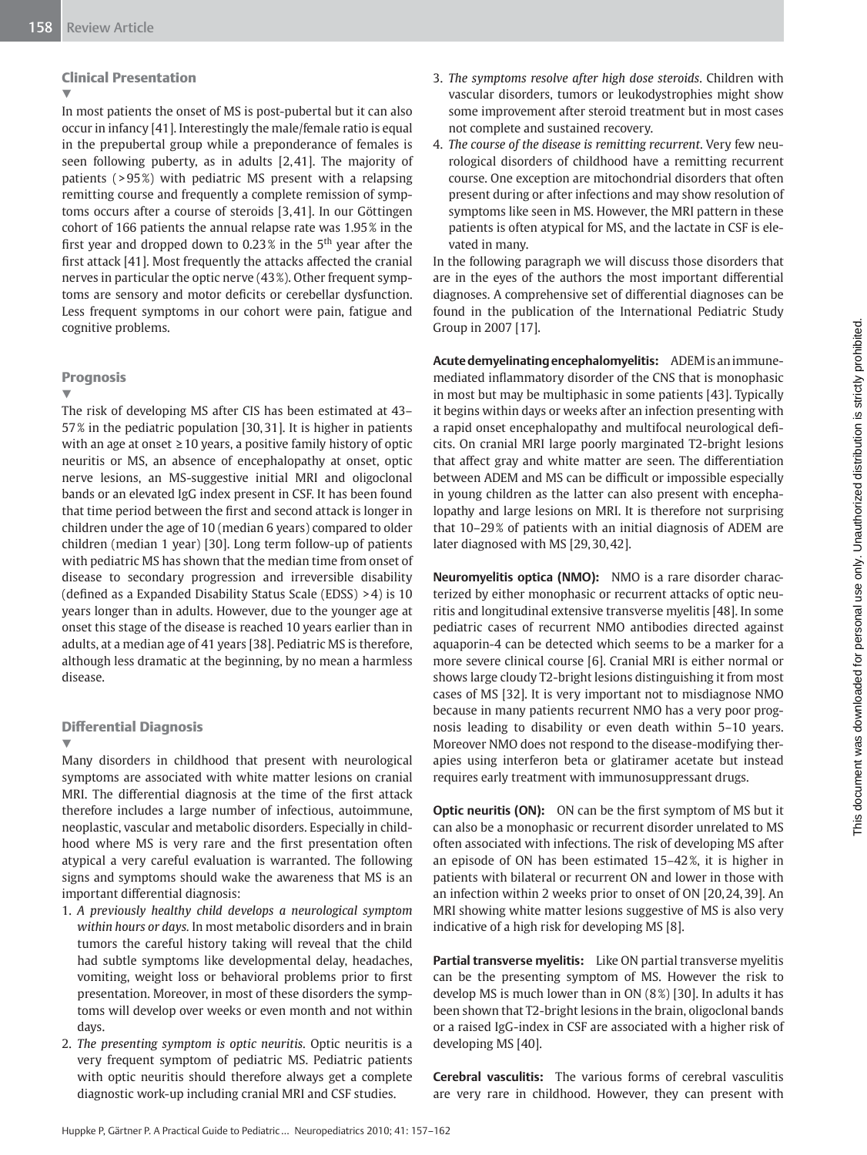## Clinical Presentation

▼

 In most patients the onset of MS is post-pubertal but it can also occur in infancy [41]. Interestingly the male/female ratio is equal in the prepubertal group while a preponderance of females is seen following puberty, as in adults [2,41]. The majority of patients (>95%) with pediatric MS present with a relapsing remitting course and frequently a complete remission of symptoms occurs after a course of steroids [3,41]. In our Göttingen cohort of 166 patients the annual relapse rate was 1.95 % in the first year and dropped down to 0.23% in the  $5<sup>th</sup>$  year after the first attack [41]. Most frequently the attacks affected the cranial nerves in particular the optic nerve (43%). Other frequent symptoms are sensory and motor deficits or cerebellar dysfunction. Less frequent symptoms in our cohort were pain, fatigue and cognitive problems.

## Prognosis

### ▼

 The risk of developing MS after CIS has been estimated at 43 – 57 % in the pediatric population [30, 31] . It is higher in patients with an age at onset ≥ 10 years, a positive family history of optic neuritis or MS, an absence of encephalopathy at onset, optic nerve lesions, an MS-suggestive initial MRI and oligoclonal bands or an elevated IgG index present in CSF. It has been found that time period between the first and second attack is longer in children under the age of 10 (median 6 years) compared to older children (median 1 year) [30]. Long term follow-up of patients with pediatric MS has shown that the median time from onset of disease to secondary progression and irreversible disability (defined as a Expanded Disability Status Scale (EDSS)  $>4$ ) is 10 years longer than in adults. However, due to the younger age at onset this stage of the disease is reached 10 years earlier than in adults, at a median age of 41 years [38] . Pediatric MS is therefore, although less dramatic at the beginning, by no mean a harmless disease.

# **Differential Diagnosis**

▼

 Many disorders in childhood that present with neurological symptoms are associated with white matter lesions on cranial MRI. The differential diagnosis at the time of the first attack therefore includes a large number of infectious, autoimmune, neoplastic, vascular and metabolic disorders. Especially in childhood where MS is very rare and the first presentation often atypical a very careful evaluation is warranted. The following signs and symptoms should wake the awareness that MS is an important differential diagnosis:

- 1. *A previously healthy child develops a neurological symptom within hours or days.* In most metabolic disorders and in brain tumors the careful history taking will reveal that the child had subtle symptoms like developmental delay, headaches, vomiting, weight loss or behavioral problems prior to first presentation. Moreover, in most of these disorders the symptoms will develop over weeks or even month and not within days.
- 2. *The presenting symptom is optic neuritis.* Optic neuritis is a very frequent symptom of pediatric MS. Pediatric patients with optic neuritis should therefore always get a complete diagnostic work-up including cranial MRI and CSF studies.
- 3. *The symptoms resolve after high dose steroids* . Children with vascular disorders, tumors or leukodystrophies might show some improvement after steroid treatment but in most cases not complete and sustained recovery.
- 4. *The course of the disease is remitting recurrent*. Very few neurological disorders of childhood have a remitting recurrent course. One exception are mitochondrial disorders that often present during or after infections and may show resolution of symptoms like seen in MS. However, the MRI pattern in these patients is often atypical for MS, and the lactate in CSF is elevated in many.

 In the following paragraph we will discuss those disorders that are in the eyes of the authors the most important differential diagnoses. A comprehensive set of differential diagnoses can be found in the publication of the International Pediatric Study Group in 2007 [17].

**Acute demyelinating encephalomyelitis :** ADEM is an immunemediated inflammatory disorder of the CNS that is monophasic in most but may be multiphasic in some patients [43]. Typically it begins within days or weeks after an infection presenting with a rapid onset encephalopathy and multifocal neurological deficits. On cranial MRI large poorly marginated T2-bright lesions that affect gray and white matter are seen. The differentiation between ADEM and MS can be difficult or impossible especially in young children as the latter can also present with encephalopathy and large lesions on MRI. It is therefore not surprising that 10-29% of patients with an initial diagnosis of ADEM are later diagnosed with MS [29, 30, 42] .

Neuromyelitis optica (NMO): NMO is a rare disorder characterized by either monophasic or recurrent attacks of optic neuritis and longitudinal extensive transverse myelitis [48] . In some pediatric cases of recurrent NMO antibodies directed against aquaporin-4 can be detected which seems to be a marker for a more severe clinical course [6]. Cranial MRI is either normal or shows large cloudy T2-bright lesions distinguishing it from most cases of MS [32]. It is very important not to misdiagnose NMO because in many patients recurrent NMO has a very poor prognosis leading to disability or even death within 5-10 years. Moreover NMO does not respond to the disease-modifying therapies using interferon beta or glatiramer acetate but instead requires early treatment with immunosuppressant drugs.

**Optic neuritis (ON):** ON can be the first symptom of MS but it can also be a monophasic or recurrent disorder unrelated to MS often associated with infections. The risk of developing MS after an episode of ON has been estimated 15-42%, it is higher in patients with bilateral or recurrent ON and lower in those with an infection within 2 weeks prior to onset of ON [20, 24, 39]. An MRI showing white matter lesions suggestive of MS is also very indicative of a high risk for developing MS [8].

Partial transverse myelitis: Like ON partial transverse myelitis can be the presenting symptom of MS. However the risk to develop MS is much lower than in ON  $(8\%)$  [30]. In adults it has been shown that T2-bright lesions in the brain, oligoclonal bands or a raised IgG-index in CSF are associated with a higher risk of developing MS [40].

**Cerebral vasculitis:** The various forms of cerebral vasculitis are very rare in childhood. However, they can present with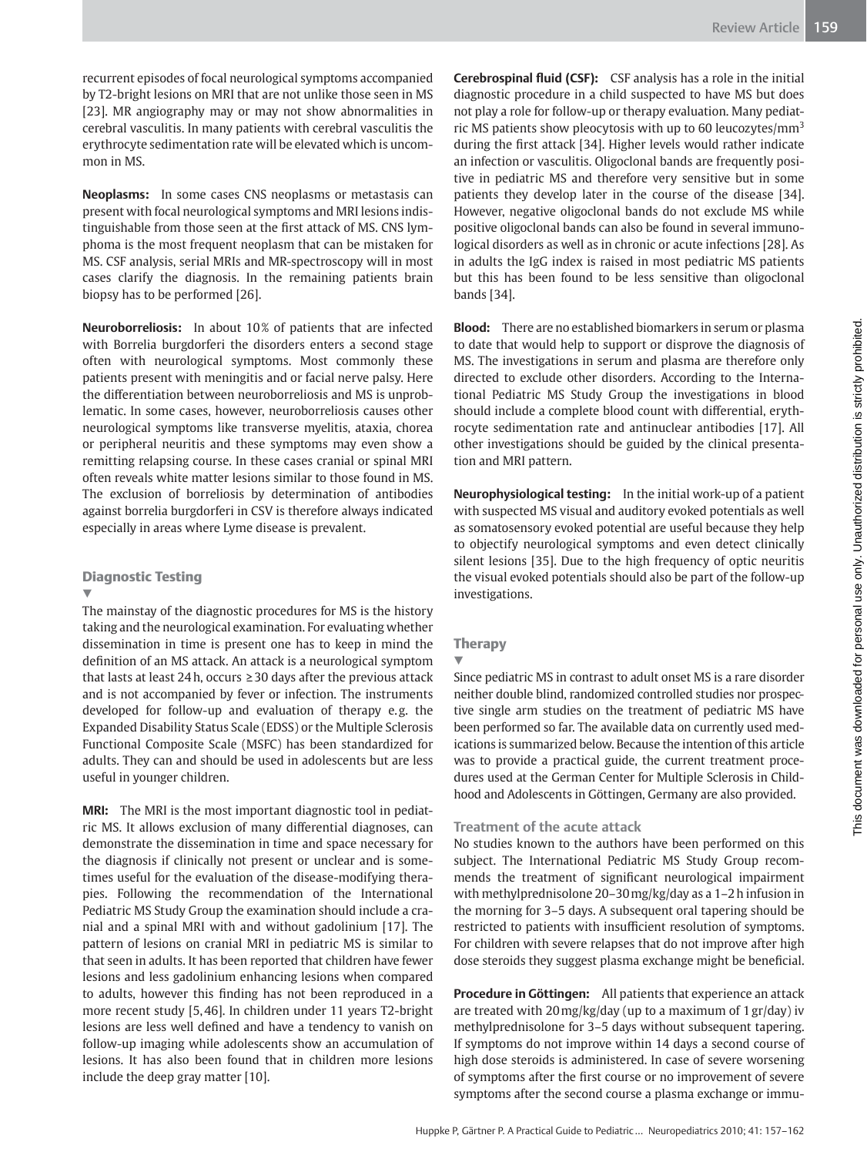recurrent episodes of focal neurological symptoms accompanied by T2-bright lesions on MRI that are not unlike those seen in MS [23]. MR angiography may or may not show abnormalities in cerebral vasculitis. In many patients with cerebral vasculitis the erythrocyte sedimentation rate will be elevated which is uncommon in MS.

Neoplasms: In some cases CNS neoplasms or metastasis can present with focal neurological symptoms and MRI lesions indistinguishable from those seen at the first attack of MS. CNS lymphoma is the most frequent neoplasm that can be mistaken for MS. CSF analysis, serial MRIs and MR-spectroscopy will in most cases clarify the diagnosis. In the remaining patients brain biopsy has to be performed [26].

Neuroborreliosis: In about 10% of patients that are infected with Borrelia burgdorferi the disorders enters a second stage often with neurological symptoms. Most commonly these patients present with meningitis and or facial nerve palsy. Here the differentiation between neuroborreliosis and MS is unproblematic. In some cases, however, neuroborreliosis causes other neurological symptoms like transverse myelitis, ataxia, chorea or peripheral neuritis and these symptoms may even show a remitting relapsing course. In these cases cranial or spinal MRI often reveals white matter lesions similar to those found in MS. The exclusion of borreliosis by determination of antibodies against borrelia burgdorferi in CSV is therefore always indicated especially in areas where Lyme disease is prevalent.

# Diagnostic Testing

#### ▼

 The mainstay of the diagnostic procedures for MS is the history taking and the neurological examination. For evaluating whether dissemination in time is present one has to keep in mind the definition of an MS attack. An attack is a neurological symptom that lasts at least 24h, occurs  $\geq$  30 days after the previous attack and is not accompanied by fever or infection. The instruments developed for follow-up and evaluation of therapy e. g. the Expanded Disability Status Scale (EDSS) or the Multiple Sclerosis Functional Composite Scale (MSFC) has been standardized for adults. They can and should be used in adolescents but are less useful in younger children.

**MRI:** The MRI is the most important diagnostic tool in pediatric MS. It allows exclusion of many differential diagnoses, can demonstrate the dissemination in time and space necessary for the diagnosis if clinically not present or unclear and is sometimes useful for the evaluation of the disease-modifying therapies. Following the recommendation of the International Pediatric MS Study Group the examination should include a cranial and a spinal MRI with and without gadolinium [17]. The pattern of lesions on cranial MRI in pediatric MS is similar to that seen in adults. It has been reported that children have fewer lesions and less gadolinium enhancing lesions when compared to adults, however this finding has not been reproduced in a more recent study [5,46]. In children under 11 years T2-bright lesions are less well defined and have a tendency to vanish on follow-up imaging while adolescents show an accumulation of lesions. It has also been found that in children more lesions include the deep gray matter [10].

**Cerebrospinal fluid (CSF):** CSF analysis has a role in the initial diagnostic procedure in a child suspected to have MS but does not play a role for follow-up or therapy evaluation. Many pediatric MS patients show pleocytosis with up to 60 leucozytes/ $mm<sup>3</sup>$ during the first attack [34]. Higher levels would rather indicate an infection or vasculitis. Oligoclonal bands are frequently positive in pediatric MS and therefore very sensitive but in some patients they develop later in the course of the disease [34]. However, negative oligoclonal bands do not exclude MS while positive oligoclonal bands can also be found in several immunological disorders as well as in chronic or acute infections [28]. As in adults the IgG index is raised in most pediatric MS patients but this has been found to be less sensitive than oligoclonal bands [34].

**Blood :** There are no established biomarkers in serum or plasma to date that would help to support or disprove the diagnosis of MS. The investigations in serum and plasma are therefore only directed to exclude other disorders. According to the International Pediatric MS Study Group the investigations in blood should include a complete blood count with differential, erythrocyte sedimentation rate and antinuclear antibodies [17]. All other investigations should be guided by the clinical presentation and MRI pattern.

**Neurophysiological testing:** In the initial work-up of a patient with suspected MS visual and auditory evoked potentials as well as somatosensory evoked potential are useful because they help to objectify neurological symptoms and even detect clinically silent lesions [35]. Due to the high frequency of optic neuritis the visual evoked potentials should also be part of the follow-up investigations.

# Therapy

## ▼

 Since pediatric MS in contrast to adult onset MS is a rare disorder neither double blind, randomized controlled studies nor prospective single arm studies on the treatment of pediatric MS have been performed so far. The available data on currently used medications is summarized below. Because the intention of this article was to provide a practical guide, the current treatment procedures used at the German Center for Multiple Sclerosis in Childhood and Adolescents in Göttingen, Germany are also provided.

### **Treatment of the acute attack**

 No studies known to the authors have been performed on this subject. The International Pediatric MS Study Group recommends the treatment of significant neurological impairment with methylprednisolone 20-30 mg/kg/day as a 1-2 h infusion in the morning for 3-5 days. A subsequent oral tapering should be restricted to patients with insufficient resolution of symptoms. For children with severe relapses that do not improve after high dose steroids they suggest plasma exchange might be beneficial.

**Procedure in Göttingen:** All patients that experience an attack are treated with 20 mg/kg/day (up to a maximum of  $1 \text{ gr}/\text{day}$ ) iv methylprednisolone for 3–5 days without subsequent tapering. If symptoms do not improve within 14 days a second course of high dose steroids is administered. In case of severe worsening of symptoms after the first course or no improvement of severe symptoms after the second course a plasma exchange or immu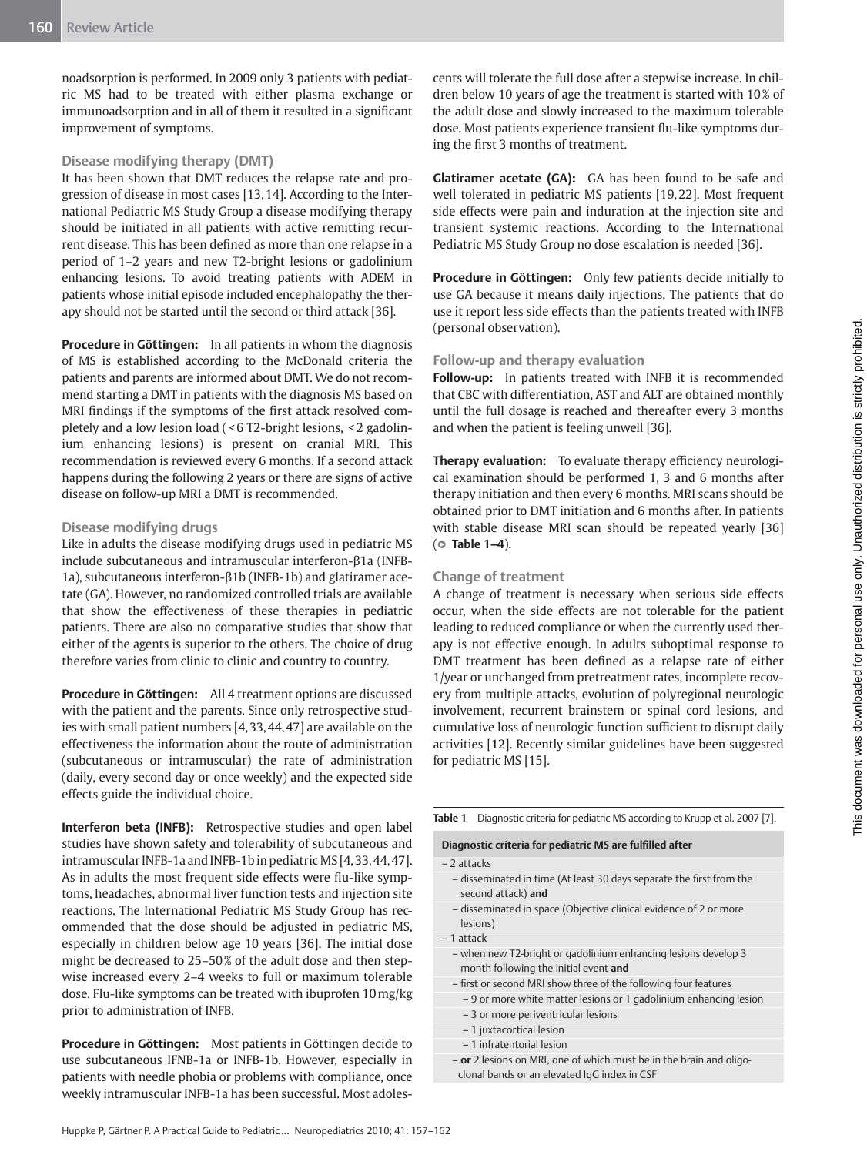noadsorption is performed. In 2009 only 3 patients with pediatric MS had to be treated with either plasma exchange or immunoadsorption and in all of them it resulted in a significant improvement of symptoms.

#### **Disease modifying therapy (DMT)**

 It has been shown that DMT reduces the relapse rate and progression of disease in most cases [13, 14] . According to the International Pediatric MS Study Group a disease modifying therapy should be initiated in all patients with active remitting recurrent disease. This has been defined as more than one relapse in a period of 1-2 years and new T2-bright lesions or gadolinium enhancing lesions. To avoid treating patients with ADEM in patients whose initial episode included encephalopathy the therapy should not be started until the second or third attack [36].

**Procedure in Göttingen:** In all patients in whom the diagnosis of MS is established according to the McDonald criteria the patients and parents are informed about DMT. We do not recommend starting a DMT in patients with the diagnosis MS based on MRI findings if the symptoms of the first attack resolved completely and a low lesion load ( < 6 T2-bright lesions, < 2 gadolinium enhancing lesions) is present on cranial MRI. This recommendation is reviewed every 6 months. If a second attack happens during the following 2 years or there are signs of active disease on follow-up MRI a DMT is recommended.

#### **Disease modifying drugs**

 Like in adults the disease modifying drugs used in pediatric MS include subcutaneous and intramuscular interferon-β1a (INFB-1a), subcutaneous interferon- β 1b (INFB-1b) and glatiramer acetate (GA). However, no randomized controlled trials are available that show the effectiveness of these therapies in pediatric patients. There are also no comparative studies that show that either of the agents is superior to the others. The choice of drug therefore varies from clinic to clinic and country to country.

**Procedure in Göttingen:** All 4 treatment options are discussed with the patient and the parents. Since only retrospective studies with small patient numbers [4, 33, 44, 47] are available on the effectiveness the information about the route of administration (subcutaneous or intramuscular) the rate of administration (daily, every second day or once weekly) and the expected side effects guide the individual choice.

**Interferon beta (INFB):** Retrospective studies and open label studies have shown safety and tolerability of subcutaneous and intramuscular INFB-1a and INFB-1b in pediatric MS [4, 33, 44, 47] . As in adults the most frequent side effects were flu-like symptoms, headaches, abnormal liver function tests and injection site reactions. The International Pediatric MS Study Group has recommended that the dose should be adjusted in pediatric MS, especially in children below age 10 years [36]. The initial dose might be decreased to 25-50% of the adult dose and then stepwise increased every 2-4 weeks to full or maximum tolerable dose. Flu-like symptoms can be treated with ibuprofen 10 mg/kg prior to administration of INFB.

**Procedure in Göttingen:** Most patients in Göttingen decide to use subcutaneous IFNB-1a or INFB-1b. However, especially in patients with needle phobia or problems with compliance, once weekly intramuscular INFB-1a has been successful. Most adolescents will tolerate the full dose after a stepwise increase. In children below 10 years of age the treatment is started with 10% of the adult dose and slowly increased to the maximum tolerable dose. Most patients experience transient flu-like symptoms during the first 3 months of treatment.

**Glatiramer acetate (GA):** GA has been found to be safe and well tolerated in pediatric MS patients [19,22]. Most frequent side effects were pain and induration at the injection site and transient systemic reactions. According to the International Pediatric MS Study Group no dose escalation is needed [36].

Procedure in Göttingen: Only few patients decide initially to use GA because it means daily injections. The patients that do use it report less side effects than the patients treated with INFB (personal observation).

#### **Follow-up and therapy evaluation**

**Follow-up:** In patients treated with INFB it is recommended that CBC with differentiation, AST and ALT are obtained monthly until the full dosage is reached and thereafter every 3 months and when the patient is feeling unwell [36].

**Therapy evaluation:** To evaluate therapy efficiency neurological examination should be performed 1, 3 and 6 months after therapy initiation and then every 6 months. MRI scans should be obtained prior to DMT initiation and 6 months after. In patients with stable disease MRI scan should be repeated yearly [36] ( $\circ$  Table 1-4).

#### **Change of treatment**

A change of treatment is necessary when serious side effects occur, when the side effects are not tolerable for the patient leading to reduced compliance or when the currently used therapy is not effective enough. In adults suboptimal response to DMT treatment has been defined as a relapse rate of either 1/year or unchanged from pretreatment rates, incomplete recovery from multiple attacks, evolution of polyregional neurologic involvement, recurrent brainstem or spinal cord lesions, and cumulative loss of neurologic function sufficient to disrupt daily activities [12]. Recently similar guidelines have been suggested for pediatric MS [15].

| Table 1                                                                                    | Diagnostic criteria for pediatric MS according to Krupp et al. 2007 [7].                                |  |  |  |  |
|--------------------------------------------------------------------------------------------|---------------------------------------------------------------------------------------------------------|--|--|--|--|
| Diagnostic criteria for pediatric MS are fulfilled after                                   |                                                                                                         |  |  |  |  |
| - 2 attacks                                                                                |                                                                                                         |  |  |  |  |
| - disseminated in time (At least 30 days separate the first from the<br>second attack) and |                                                                                                         |  |  |  |  |
|                                                                                            | - disseminated in space (Objective clinical evidence of 2 or more<br>lesions)                           |  |  |  |  |
| $-1$ attack                                                                                |                                                                                                         |  |  |  |  |
|                                                                                            | - when new T2-bright or gadolinium enhancing lesions develop 3<br>month following the initial event and |  |  |  |  |
|                                                                                            | - first or second MRI show three of the following four features                                         |  |  |  |  |
|                                                                                            | - 9 or more white matter lesions or 1 gadolinium enhancing lesion                                       |  |  |  |  |
|                                                                                            | - 3 or more periventricular lesions                                                                     |  |  |  |  |
|                                                                                            | - 1 juxtacortical lesion                                                                                |  |  |  |  |
|                                                                                            | - 1 infratentorial lesion                                                                               |  |  |  |  |
|                                                                                            |                                                                                                         |  |  |  |  |

 – **or** 2 lesions on MRI, one of which must be in the brain and oligoclonal bands or an elevated IgG index in CSF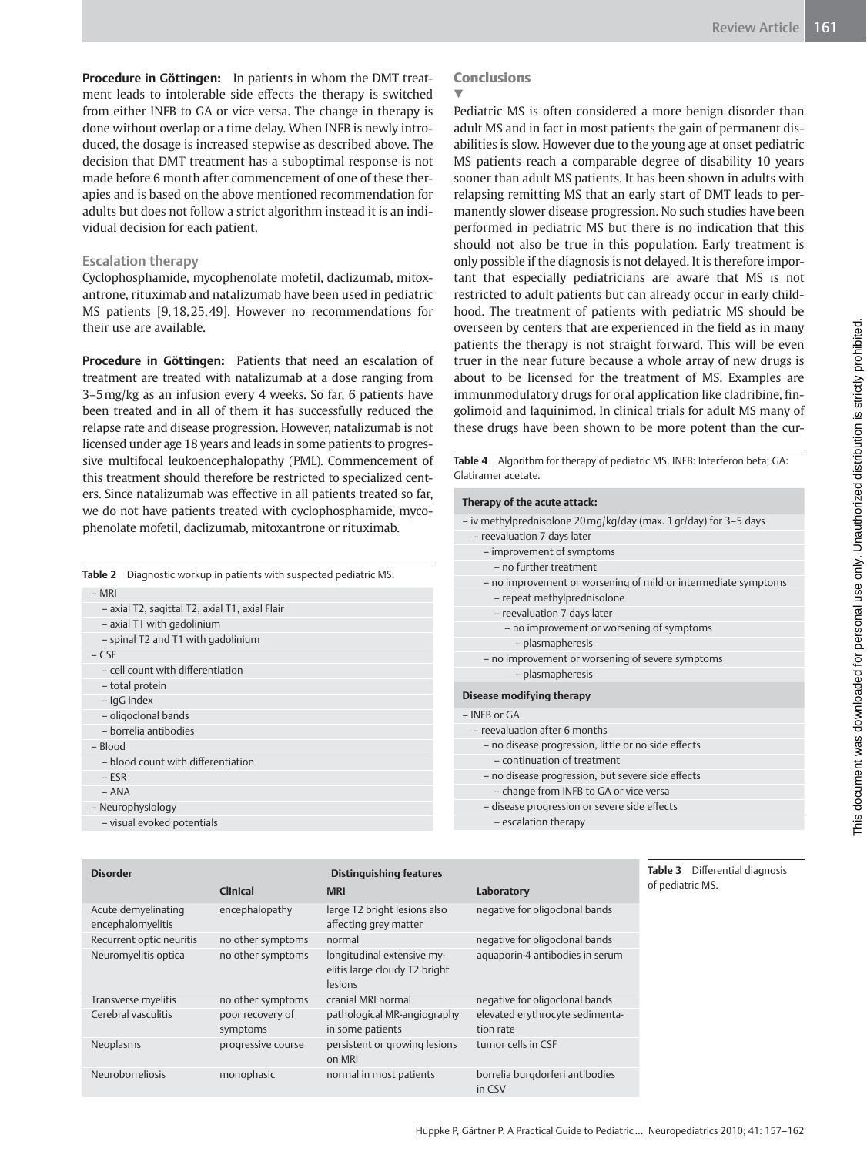**Procedure in Göttingen:** In patients in whom the DMT treatment leads to intolerable side effects the therapy is switched from either INFB to GA or vice versa. The change in therapy is done without overlap or a time delay. When INFB is newly introduced, the dosage is increased stepwise as described above. The decision that DMT treatment has a suboptimal response is not made before 6 month after commencement of one of these therapies and is based on the above mentioned recommendation for adults but does not follow a strict algorithm instead it is an individual decision for each patient.

#### **Escalation therapy**

 Cyclophosphamide, mycophenolate mofetil, daclizumab, mitoxantrone, rituximab and natalizumab have been used in pediatric MS patients [9,18,25,49]. However no recommendations for their use are available.

**Procedure in Göttingen:** Patients that need an escalation of treatment are treated with natalizumab at a dose ranging from 3-5 mg/kg as an infusion every 4 weeks. So far, 6 patients have been treated and in all of them it has successfully reduced the relapse rate and disease progression. However, natalizumab is not licensed under age 18 years and leads in some patients to progressive multifocal leukoencephalopathy (PML). Commencement of this treatment should therefore be restricted to specialized centers. Since natalizumab was effective in all patients treated so far, we do not have patients treated with cyclophosphamide, mycophenolate mofetil, daclizumab, mitoxantrone or rituximab.

|  | Table 2 Diagnostic workup in patients with suspected pediatric MS. |  |  |  |
|--|--------------------------------------------------------------------|--|--|--|
|--|--------------------------------------------------------------------|--|--|--|

|--|--|

- axial T2, sagittal T2, axial T1, axial Flair
- axial T1 with gadolinium
- spinal T2 and T1 with gadolinium
- CSF
- cell count with differentiation
- total protein
- IgG index
- oligoclonal bands
- borrelia antibodies
- Blood
- blood count with differentiation
- ESR
- ANA
- Neurophysiology
	- visual evoked potentials

#### Conclusions

#### ▼

 Pediatric MS is often considered a more benign disorder than adult MS and in fact in most patients the gain of permanent disabilities is slow. However due to the young age at onset pediatric MS patients reach a comparable degree of disability 10 years sooner than adult MS patients. It has been shown in adults with relapsing remitting MS that an early start of DMT leads to permanently slower disease progression. No such studies have been performed in pediatric MS but there is no indication that this should not also be true in this population. Early treatment is only possible if the diagnosis is not delayed. It is therefore important that especially pediatricians are aware that MS is not restricted to adult patients but can already occur in early childhood. The treatment of patients with pediatric MS should be overseen by centers that are experienced in the field as in many patients the therapy is not straight forward. This will be even truer in the near future because a whole array of new drugs is about to be licensed for the treatment of MS. Examples are immunmodulatory drugs for oral application like cladribine, fingolimoid and laquinimod. In clinical trials for adult MS many of these drugs have been shown to be more potent than the cur-

**Table 4** Algorithm for therapy of pediatric MS. INFB: Interferon beta; GA: Glatiramer acetate.

# **Therapy of the acute attack:**

| - iv methylprednisolone 20 mg/kg/day (max. 1 gr/day) for 3-5 days |  |  |  |  |
|-------------------------------------------------------------------|--|--|--|--|
| - reevaluation 7 days later                                       |  |  |  |  |
| - improvement of symptoms                                         |  |  |  |  |
| $-$ no further treatment                                          |  |  |  |  |
| - no improvement or worsening of mild or intermediate symptoms    |  |  |  |  |
| - repeat methylprednisolone                                       |  |  |  |  |
| - reevaluation 7 days later                                       |  |  |  |  |
| - no improvement or worsening of symptoms                         |  |  |  |  |
| - plasmapheresis                                                  |  |  |  |  |
| - no improvement or worsening of severe symptoms                  |  |  |  |  |
| - plasmapheresis                                                  |  |  |  |  |
| Disease modifying therapy                                         |  |  |  |  |
| - INFB or GA                                                      |  |  |  |  |
| - reevaluation after 6 months                                     |  |  |  |  |
| - no disease progression, little or no side effects               |  |  |  |  |
| - continuation of treatment                                       |  |  |  |  |
| - no disease progression, but severe side effects                 |  |  |  |  |
|                                                                   |  |  |  |  |

- change from INFB to GA or vice versa
- disease progression or severe side effects
- escalation therapy

| <b>Disorder</b>                          | <b>Distinguishing features</b> |                                                                        |                                              |  |
|------------------------------------------|--------------------------------|------------------------------------------------------------------------|----------------------------------------------|--|
|                                          | <b>Clinical</b>                | <b>MRI</b>                                                             | Laboratory                                   |  |
| Acute demyelinating<br>encephalomyelitis | encephalopathy                 | large T2 bright lesions also<br>affecting grey matter                  | negative for oligoclonal bands               |  |
| Recurrent optic neuritis                 | no other symptoms              | normal                                                                 | negative for oligoclonal bands               |  |
| Neuromyelitis optica                     | no other symptoms              | longitudinal extensive my-<br>elitis large cloudy T2 bright<br>lesions | aquaporin-4 antibodies in serum              |  |
| Transverse myelitis                      | no other symptoms              | cranial MRI normal                                                     | negative for oligoclonal bands               |  |
| Cerebral vasculitis                      | poor recovery of<br>symptoms   | pathological MR-angiography<br>in some patients                        | elevated erythrocyte sedimenta-<br>tion rate |  |
| Neoplasms                                | progressive course             | persistent or growing lesions<br>on MRI                                | tumor cells in CSF                           |  |
| Neuroborreliosis                         | monophasic                     | normal in most patients                                                | borrelia burgdorferi antibodies<br>in CSV    |  |

**Table 3** Differential diagnosis of pediatric MS.